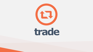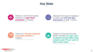

*- Trade Data Online, February 2021*







*- Alberta Agriculture, 2019*



*- Global Affairs Canada, September 2020*

Calgary's financial services sector handles **9.5 per cent of global energy M&A deal volume and 17 per cent of their total value**



*- Five-Year Average, Bloomberg Data, 2012-2016*



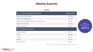

### Top 5 Export Categories (NAICS)





| Top 5 Export Categories (NAICS)          | CAD\$ billion |
|------------------------------------------|---------------|
| Oil and Gas Extraction                   | \$56.66       |
| Petroleum Refineries                     | \$3.45        |
| Resin and Synthetic Rubber Manufacturing | \$3.40        |
| <b>Animal Processing</b>                 | \$3.31        |
| <b>Wheat Farming</b>                     | \$2.33        |
| Top 5 Export Countries                   |               |
| <b>United States</b>                     | \$77.57       |
| China                                    | \$4.55        |
| Japan                                    | \$2.02        |
| <b>Mexico</b>                            | \$0.84        |
| South Korea                              | \$0.57        |

# **Alberta Exports** •••

## **2020**

*Source: Industry Canada - Trade Data Online, May 2021*